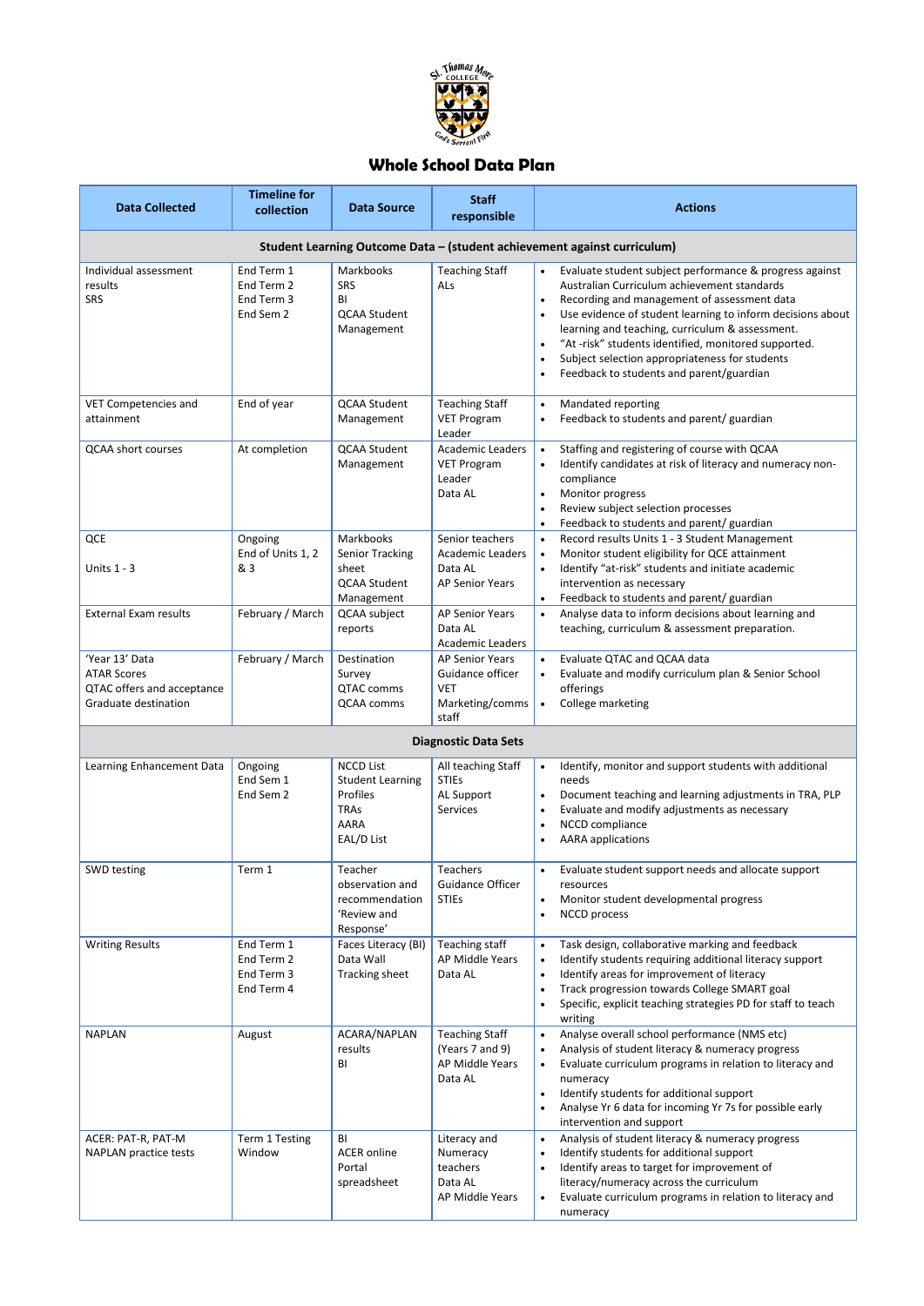

## **Whole School Data Plan**

| <b>Data Collected</b>                                                                      | <b>Timeline for</b><br>collection                    | <b>Data Source</b>                                                                                         | <b>Staff</b><br>responsible                                                          | <b>Actions</b>                                                                                                                                                                                                                                                                                                                                                                                                                                                                                             |  |  |  |  |  |
|--------------------------------------------------------------------------------------------|------------------------------------------------------|------------------------------------------------------------------------------------------------------------|--------------------------------------------------------------------------------------|------------------------------------------------------------------------------------------------------------------------------------------------------------------------------------------------------------------------------------------------------------------------------------------------------------------------------------------------------------------------------------------------------------------------------------------------------------------------------------------------------------|--|--|--|--|--|
| Student Learning Outcome Data - (student achievement against curriculum)                   |                                                      |                                                                                                            |                                                                                      |                                                                                                                                                                                                                                                                                                                                                                                                                                                                                                            |  |  |  |  |  |
| Individual assessment<br>results<br><b>SRS</b>                                             | End Term 1<br>End Term 2<br>End Term 3<br>End Sem 2  | Markbooks<br><b>SRS</b><br>BI<br><b>QCAA Student</b><br>Management                                         | <b>Teaching Staff</b><br>ALs                                                         | Evaluate student subject performance & progress against<br>$\bullet$<br>Australian Curriculum achievement standards<br>Recording and management of assessment data<br>$\bullet$<br>Use evidence of student learning to inform decisions about<br>$\bullet$<br>learning and teaching, curriculum & assessment.<br>"At -risk" students identified, monitored supported.<br>$\bullet$<br>Subject selection appropriateness for students<br>$\bullet$<br>Feedback to students and parent/guardian<br>$\bullet$ |  |  |  |  |  |
| <b>VET Competencies and</b><br>attainment                                                  | End of year                                          | <b>QCAA Student</b><br>Management                                                                          | <b>Teaching Staff</b><br><b>VET Program</b><br>Leader                                | Mandated reporting<br>$\bullet$<br>Feedback to students and parent/ guardian<br>$\bullet$                                                                                                                                                                                                                                                                                                                                                                                                                  |  |  |  |  |  |
| <b>QCAA short courses</b>                                                                  | At completion                                        | <b>QCAA Student</b><br>Management                                                                          | <b>Academic Leaders</b><br><b>VET Program</b><br>Leader<br>Data AL                   | Staffing and registering of course with QCAA<br>$\bullet$<br>Identify candidates at risk of literacy and numeracy non-<br>$\bullet$<br>compliance<br>Monitor progress<br>$\bullet$<br>Review subject selection processes<br>$\bullet$<br>Feedback to students and parent/ guardian<br>$\bullet$                                                                                                                                                                                                            |  |  |  |  |  |
| QCE<br>Units 1 - 3                                                                         | Ongoing<br>End of Units 1, 2<br>& 3                  | Markbooks<br><b>Senior Tracking</b><br>sheet<br><b>QCAA Student</b><br>Management                          | Senior teachers<br><b>Academic Leaders</b><br>Data AL<br><b>AP Senior Years</b>      | Record results Units 1 - 3 Student Management<br>$\bullet$<br>Monitor student eligibility for QCE attainment<br>$\bullet$<br>Identify "at-risk" students and initiate academic<br>$\bullet$<br>intervention as necessary<br>Feedback to students and parent/ guardian<br>$\bullet$                                                                                                                                                                                                                         |  |  |  |  |  |
| <b>External Exam results</b>                                                               | February / March                                     | QCAA subject<br>reports                                                                                    | <b>AP Senior Years</b><br>Data AL<br><b>Academic Leaders</b>                         | Analyse data to inform decisions about learning and<br>$\bullet$<br>teaching, curriculum & assessment preparation.                                                                                                                                                                                                                                                                                                                                                                                         |  |  |  |  |  |
| 'Year 13' Data<br><b>ATAR Scores</b><br>QTAC offers and acceptance<br>Graduate destination | February / March                                     | Destination<br>Survey<br>QTAC comms<br>QCAA comms                                                          | <b>AP Senior Years</b><br>Guidance officer<br><b>VET</b><br>Marketing/comms<br>staff | Evaluate QTAC and QCAA data<br>$\bullet$<br>Evaluate and modify curriculum plan & Senior School<br>$\bullet$<br>offerings<br>College marketing<br>$\bullet$                                                                                                                                                                                                                                                                                                                                                |  |  |  |  |  |
|                                                                                            |                                                      |                                                                                                            | <b>Diagnostic Data Sets</b>                                                          |                                                                                                                                                                                                                                                                                                                                                                                                                                                                                                            |  |  |  |  |  |
| Learning Enhancement Data                                                                  | Ongoing<br>End Sem 1<br>End Sem 2                    | <b>NCCD List</b><br><b>Student Learning</b><br><b>Profiles</b><br><b>TRAS</b><br><b>AARA</b><br>EAL/D List | All teaching Staff<br><b>STIEs</b><br>AL Support<br>Services                         | Identify, monitor and support students with additional<br>$\bullet$<br>needs<br>Document teaching and learning adjustments in TRA, PLP<br>$\bullet$<br>Evaluate and modify adjustments as necessary<br>$\bullet$<br>NCCD compliance<br>$\bullet$<br><b>AARA</b> applications<br>$\bullet$                                                                                                                                                                                                                  |  |  |  |  |  |
| SWD testing                                                                                | Term 1                                               | Teacher<br>observation and<br>recommendation<br>'Review and<br>Response'                                   | <b>Teachers</b><br><b>Guidance Officer</b><br><b>STIEs</b>                           | Evaluate student support needs and allocate support<br>$\bullet$<br>resources<br>Monitor student developmental progress<br>$\bullet$<br><b>NCCD</b> process<br>$\bullet$                                                                                                                                                                                                                                                                                                                                   |  |  |  |  |  |
| <b>Writing Results</b>                                                                     | End Term 1<br>End Term 2<br>End Term 3<br>End Term 4 | Faces Literacy (BI)<br>Data Wall<br>Tracking sheet                                                         | Teaching staff<br>AP Middle Years<br>Data AL                                         | Task design, collaborative marking and feedback<br>$\bullet$<br>Identify students requiring additional literacy support<br>$\bullet$<br>Identify areas for improvement of literacy<br>$\bullet$<br>Track progression towards College SMART goal<br>$\bullet$<br>Specific, explicit teaching strategies PD for staff to teach<br>$\bullet$<br>writing                                                                                                                                                       |  |  |  |  |  |
| <b>NAPLAN</b>                                                                              | August                                               | ACARA/NAPLAN<br>results<br>BI                                                                              | <b>Teaching Staff</b><br>(Years 7 and 9)<br>AP Middle Years<br>Data AL               | Analyse overall school performance (NMS etc)<br>$\bullet$<br>Analysis of student literacy & numeracy progress<br>$\bullet$<br>Evaluate curriculum programs in relation to literacy and<br>$\bullet$<br>numeracy<br>Identify students for additional support<br>$\bullet$<br>Analyse Yr 6 data for incoming Yr 7s for possible early<br>$\bullet$<br>intervention and support                                                                                                                               |  |  |  |  |  |
| ACER: PAT-R, PAT-M<br><b>NAPLAN practice tests</b>                                         | Term 1 Testing<br>Window                             | BI<br><b>ACER</b> online<br>Portal<br>spreadsheet                                                          | Literacy and<br>Numeracy<br>teachers<br>Data AL<br>AP Middle Years                   | Analysis of student literacy & numeracy progress<br>$\bullet$<br>Identify students for additional support<br>$\bullet$<br>Identify areas to target for improvement of<br>literacy/numeracy across the curriculum<br>Evaluate curriculum programs in relation to literacy and<br>$\bullet$<br>numeracy                                                                                                                                                                                                      |  |  |  |  |  |